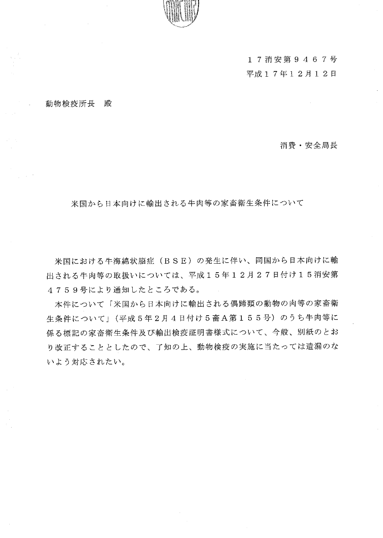

17消安第9467号 平成17年12月12日

#### 動物検疫所長 殿

消費·安全局長

米国から日本向けに輸出される牛肉等の家畜衛生条件について

米国における牛海綿状脳症(BSE)の発生に伴い、同国から日本向けに輸 出される牛肉等の取扱いについては、平成15年12月27日付け15消安第 4759号により通知したところである。

本件について「米国から日本向けに輸出される偶蹄類の動物の肉等の家畜衛 生条件について」(平成5年2月4日付け5畜A第155号)のうち牛肉等に 係る標記の家畜衛生条件及び輸出検疫証明書様式について、今般、別紙のとお り改正することとしたので、了知の上、動物検疫の実施に当たっては遺漏のな いよう対応されたい。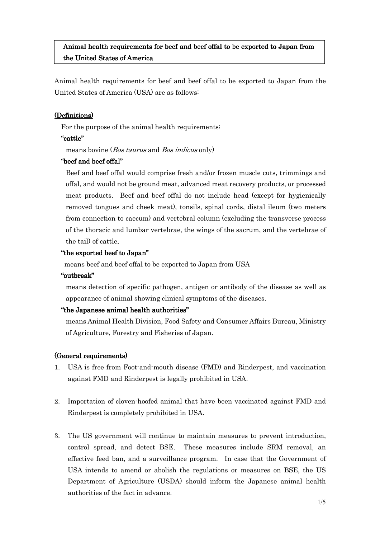# Animal health requirements for beef and beef offal to be exported to Japan from the United States of America

Animal health requirements for beef and beef offal to be exported to Japan from the United States of America (USA) are as follows:

## (Definitions)

For the purpose of the animal health requirements;

## "cattle"

means bovine (Bos taurus and Bos indicus only)

# "beef and beef offal"

Beef and beef offal would comprise fresh and/or frozen muscle cuts, trimmings and offal, and would not be ground meat, advanced meat recovery products, or processed meat products. Beef and beef offal do not include head (except for hygienically removed tongues and cheek meat), tonsils, spinal cords, distal ileum (two meters from connection to caecum) and vertebral column (excluding the transverse process of the thoracic and lumbar vertebrae, the wings of the sacrum, and the vertebrae of the tail) of cattle.

# "the exported beef to Japan"

means beef and beef offal to be exported to Japan from USA

## "outbreak"

means detection of specific pathogen, antigen or antibody of the disease as well as appearance of animal showing clinical symptoms of the diseases.

## "the Japanese animal health authorities"

means Animal Health Division, Food Safety and Consumer Affairs Bureau, Ministry of Agriculture, Forestry and Fisheries of Japan.

# (General requirements)

- 1. USA is free from Foot-and-mouth disease (FMD) and Rinderpest, and vaccination against FMD and Rinderpest is legally prohibited in USA.
- 2. Importation of cloven-hoofed animal that have been vaccinated against FMD and Rinderpest is completely prohibited in USA.
- 3. The US government will continue to maintain measures to prevent introduction, control spread, and detect BSE. These measures include SRM removal, an effective feed ban, and a surveillance program. In case that the Government of USA intends to amend or abolish the regulations or measures on BSE, the US Department of Agriculture (USDA) should inform the Japanese animal health authorities of the fact in advance.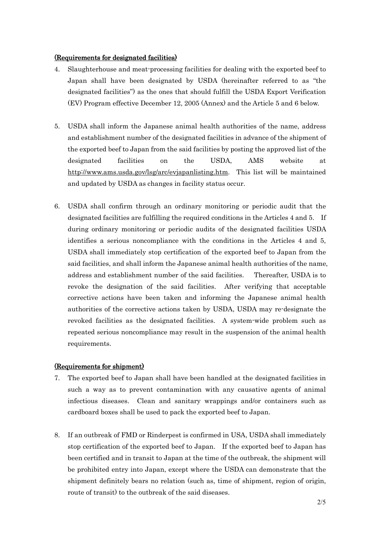### (Requirements for designated facilities)

- 4. Slaughterhouse and meat-processing facilities for dealing with the exported beef to Japan shall have been designated by USDA (hereinafter referred to as "the designated facilities") as the ones that should fulfill the USDA Export Verification (EV) Program effective December 12, 2005 (Annex) and the Article 5 and 6 below.
- 5. USDA shall inform the Japanese animal health authorities of the name, address and establishment number of the designated facilities in advance of the shipment of the exported beef to Japan from the said facilities by posting the approved list of the designated facilities on the USDA, AMS website at http://www.ams.usda.gov/lsg/arc/evjapanlisting.htm. This list will be maintained and updated by USDA as changes in facility status occur.
- 6. USDA shall confirm through an ordinary monitoring or periodic audit that the designated facilities are fulfilling the required conditions in the Articles 4 and 5. If during ordinary monitoring or periodic audits of the designated facilities USDA identifies a serious noncompliance with the conditions in the Articles 4 and 5, USDA shall immediately stop certification of the exported beef to Japan from the said facilities, and shall inform the Japanese animal health authorities of the name, address and establishment number of the said facilities. Thereafter, USDA is to revoke the designation of the said facilities. After verifying that acceptable corrective actions have been taken and informing the Japanese animal health authorities of the corrective actions taken by USDA, USDA may re-designate the revoked facilities as the designated facilities. A system-wide problem such as repeated serious noncompliance may result in the suspension of the animal health requirements.

### (Requirements for shipment)

- 7. The exported beef to Japan shall have been handled at the designated facilities in such a way as to prevent contamination with any causative agents of animal infectious diseases. Clean and sanitary wrappings and/or containers such as cardboard boxes shall be used to pack the exported beef to Japan.
- 8. If an outbreak of FMD or Rinderpest is confirmed in USA, USDA shall immediately stop certification of the exported beef to Japan. If the exported beef to Japan has been certified and in transit to Japan at the time of the outbreak, the shipment will be prohibited entry into Japan, except where the USDA can demonstrate that the shipment definitely bears no relation (such as, time of shipment, region of origin, route of transit) to the outbreak of the said diseases.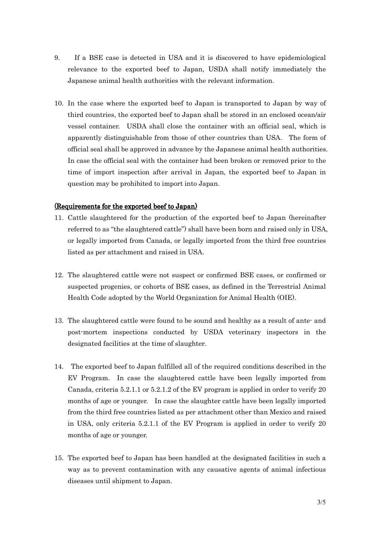- 9. If a BSE case is detected in USA and it is discovered to have epidemiological relevance to the exported beef to Japan, USDA shall notify immediately the Japanese animal health authorities with the relevant information.
- 10. In the case where the exported beef to Japan is transported to Japan by way of third countries, the exported beef to Japan shall be stored in an enclosed ocean/air vessel container. USDA shall close the container with an official seal, which is apparently distinguishable from those of other countries than USA. The form of official seal shall be approved in advance by the Japanese animal health authorities. In case the official seal with the container had been broken or removed prior to the time of import inspection after arrival in Japan, the exported beef to Japan in question may be prohibited to import into Japan.

### (Requirements for the exported beef to Japan)

- 11. Cattle slaughtered for the production of the exported beef to Japan (hereinafter referred to as "the slaughtered cattle") shall have been born and raised only in USA, or legally imported from Canada, or legally imported from the third free countries listed as per attachment and raised in USA.
- 12. The slaughtered cattle were not suspect or confirmed BSE cases, or confirmed or suspected progenies, or cohorts of BSE cases, as defined in the Terrestrial Animal Health Code adopted by the World Organization for Animal Health (OIE).
- 13. The slaughtered cattle were found to be sound and healthy as a result of ante- and post-mortem inspections conducted by USDA veterinary inspectors in the designated facilities at the time of slaughter.
- 14. The exported beef to Japan fulfilled all of the required conditions described in the EV Program. In case the slaughtered cattle have been legally imported from Canada, criteria 5.2.1.1 or 5.2.1.2 of the EV program is applied in order to verify 20 months of age or younger. In case the slaughter cattle have been legally imported from the third free countries listed as per attachment other than Mexico and raised in USA, only criteria 5.2.1.1 of the EV Program is applied in order to verify 20 months of age or younger.
- 15. The exported beef to Japan has been handled at the designated facilities in such a way as to prevent contamination with any causative agents of animal infectious diseases until shipment to Japan.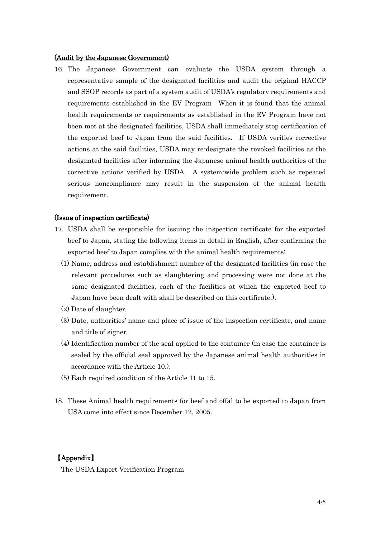### (Audit by the Japanese Government)

16. The Japanese Government can evaluate the USDA system through a representative sample of the designated facilities and audit the original HACCP and SSOP records as part of a system audit of USDA's regulatory requirements and requirements established in the EV Program When it is found that the animal health requirements or requirements as established in the EV Program have not been met at the designated facilities, USDA shall immediately stop certification of the exported beef to Japan from the said facilities. If USDA verifies corrective actions at the said facilities, USDA may re-designate the revoked facilities as the designated facilities after informing the Japanese animal health authorities of the corrective actions verified by USDA. A system-wide problem such as repeated serious noncompliance may result in the suspension of the animal health requirement.

#### (Issue of inspection certificate)

- 17. USDA shall be responsible for issuing the inspection certificate for the exported beef to Japan, stating the following items in detail in English, after confirming the exported beef to Japan complies with the animal health requirements;
	- (1) Name, address and establishment number of the designated facilities (in case the relevant procedures such as slaughtering and processing were not done at the same designated facilities, each of the facilities at which the exported beef to Japan have been dealt with shall be described on this certificate.).
	- (2) Date of slaughter.
	- (3) Date, authorities' name and place of issue of the inspection certificate, and name and title of signer.
	- (4) Identification number of the seal applied to the container (in case the container is sealed by the official seal approved by the Japanese animal health authorities in accordance with the Article 10.).
	- (5) Each required condition of the Article 11 to 15.
- 18. These Animal health requirements for beef and offal to be exported to Japan from USA come into effect since December 12, 2005.

### 【Appendix 】

The USDA Export Verification Program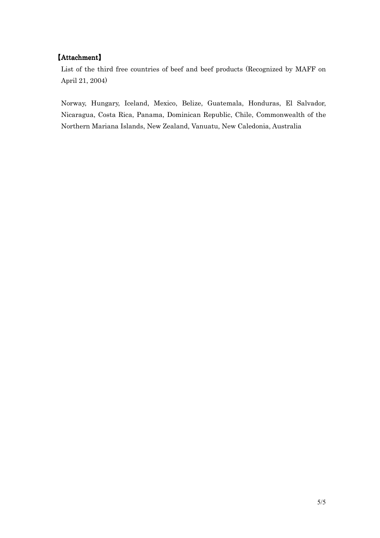# 【Attachment】

List of the third free countries of beef and beef products (Recognized by MAFF on April 21, 2004)

Norway, Hungary, Iceland, Mexico, Belize, Guatemala, Honduras, El Salvador, Nicaragua, Costa Rica, Panama, Dominican Republic, Chile, Commonwealth of the Northern Mariana Islands, New Zealand, Vanuatu, New Caledonia, Australia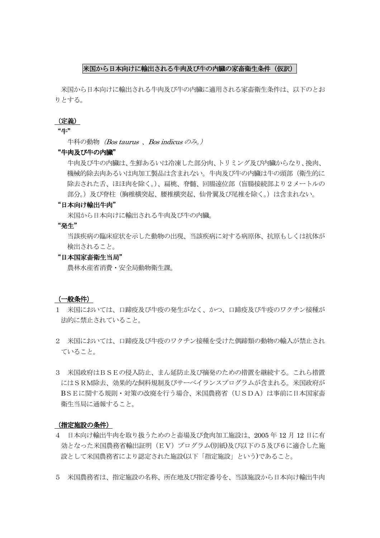### 米国から日本向けに輸出される牛肉及び牛の内臓の家畜衛生条件(仮訳)

米国から日本向けに輸出される牛肉及び牛の内臓に適用される家畜衛生条件は、以下のとお りとする。

#### (定義)

#### "牛"

牛科の動物*(Bos taurus 、Bos indicus のみ。)* 

### "牛肉及び牛の内臓"

 牛肉及び牛の内臓は、生鮮あるいは冷凍した部分肉、トリミング及び内臓からなり、挽肉、 機械的除去肉あるいは肉加工製品は含まれない。牛肉及び牛の内臓は牛の頭部(衛生的に 除去された舌、ほほ肉を除く。)、扁桃、脊髄、回腸遠位部(盲腸接続部より2メートルの 部分。)及び脊柱(胸椎横突起、腰椎横突起、仙骨翼及び尾椎を除く。)は含まれない。

### "日本向け輸出牛肉"

米国から日本向けに輸出される牛肉及び牛の内臓。

#### "発生"

 当該疾病の臨床症状を示した動物の出現、当該疾病に対する病原体、抗原もしくは抗体が 検出されること。

#### "日本国家畜衛生当局"

農林水産省消費・安全局動物衛生課。

### (一般条件)

- 1 米国においては、口蹄疫及び牛疫の発生がなく、かつ、口蹄疫及び牛疫のワクチン接種が 法的に禁止されていること。
- 2 米国においては、口蹄疫及び牛疫のワクチン接種を受けた偶蹄類の動物の輸入が禁止され ていること。
- 3 米国政府はBSEの侵入防止、まん延防止及び摘発のための措置を継続する。これら措置 にはSRM除去、効果的な飼料規制及びサーベイランスプログラムが含まれる。米国政府が BSEに関する規則·対策の改廃を行う場合、米国農務省 (USDA) は事前に日本国家畜 衛生当局に通報すること。

### (指定施設の条件)

- 4 日本向け輸出牛肉を取り扱うためのと畜場及び食肉加工施設は、2005 年 12 月 12 日に有 効となった米国農務省輸出証明(EV)プログラム(別紙)及び以下の5及び6に適合した施 設として米国農務省により認定された施設(以下「指定施設」という)であること。
- 5 米国農務省は、指定施設の名称、所在地及び指定番号を、当該施設から日本向け輸出牛肉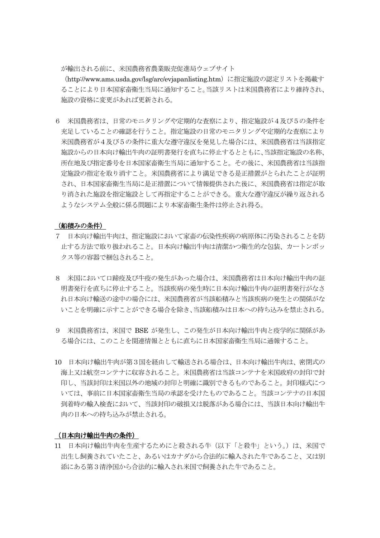が輸出される前に、米国農務省農業販売促進局ウェブサイト

(http://www.ams.usda.gov/lsg/arc/evjapanlisting.htm)に指定施設の認定リストを掲載す ることにより日本国家畜衛生当局に通知すること。当該リストは米国農務省により維持され、 施設の資格に変更があれば更新される。

6 米国農務省は、日常のモニタリングや定期的な査察により、指定施設が4及び5の条件を 充足していることの確認を行うこと。指定施設の日常のモニタリングや定期的な査察により 米国農務省が4及び5の条件に重大な遵守違反を発見した場合には、米国農務省は当該指定 施設からの日本向け輸出牛肉の証明書発行を直ちに停止するとともに、当該指定施設の名称、 所在地及び指定番号を日本国家畜衛生当局に通知すること。その後に、米国農務省は当該指 定施設の指定を取り消すこと。米国農務省により満足できる是正措置がとられたことが証明 され、日本国家畜衛生当局に是正措置について情報提供された後に、米国農務省は指定が取 り消された施設を指定施設として再指定することができる。重大な遵守違反が繰り返される ようなシステム全般に係る問題により本家畜衛生条件は停止され得る。

#### (船積みの条件)

- 7 日本向け輸出牛肉は、指定施設において家畜の伝染性疾病の病原体に汚染されることを防 止する方法で取り扱われること。日本向け輸出牛肉は清潔かつ衛生的な包装、カートンボッ クス等の容器で梱包されること。
- 8 米国において口蹄疫及び牛疫の発生があった場合は、米国農務省は日本向け輸出牛肉の証 明書発行を直ちに停止すること。当該疾病の発生時に日本向け輸出牛肉の証明書発行がなさ れ日本向け輸送の途中の場合には、米国農務省が当該船積みと当該疾病の発生との関係がな いことを明確に示すことができる場合を除き、当該船積みは日本への持ち込みを禁止される。
- 9 米国農務省は、米国で BSE が発生し、この発生が日本向け輸出牛肉と疫学的に関係があ る場合には、このことを関連情報とともに直ちに日本国家畜衛生当局に通報すること。
- 10 日本向け輸出牛肉が第3国を経由して輸送される場合は、日本向け輸出牛肉は、密閉式の 海上又は航空コンテナに収容されること。米国農務省は当該コンテナを米国政府の封印で封 印し、当該封印は米国以外の地域の封印と明確に識別できるものであること。封印様式につ いては、事前に日本国家畜衛生当局の承認を受けたものであること。当該コンテナの日本国 到着時の輸入検査において、当該封印の破損又は脱落がある場合には、当該日本向け輸出牛 肉の日本への持ち込みが禁止される。

#### (日本向け輸出牛肉の条件)

11 日本向け輸出牛肉を生産するためにと殺される牛(以下「と殺牛」という。)は、米国で 出生し飼養されていたこと、あるいはカナダから合法的に輸入された牛であること、又は別 添にある第3清浄国から合法的に輸入され米国で飼養された牛であること。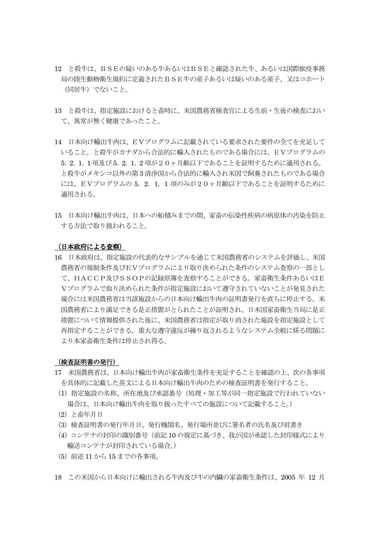- 12 と殺牛は、BSEの疑いのある牛あるいはBSEと確認された牛、あるいは国際獣疫事務 局の陸生動物衛生規約に定義されたBSE牛の産子あるいは疑いのある産子、又はコホート (同居牛)でないこと。
- 13 と殺牛は、指定施設におけると畜時に、米国農務省検査官による生前・生後の検査におい て、異常が無く健康であったこと。
- 14 日本向け輸出牛肉は、EVプログラムに記載されている要求された要件の全てを充足して いること。と殺牛がカナダから合法的に輸入されたものである場合には、EVプログラムの 5.2.1.1 項及び 5.2.1.2 項が20ヶ月齢以下であることを証明するために適用される。 と殺牛がメキシコ以外の第 3 清浄国から合法的に輸入され米国で飼養されたものである場合 には、EVプログラムの 5.2.1.1 項のみが20ヶ月齢以下であることを証明するために 適用される。
- 15 日本向け輸出牛肉は、日本への船積みまでの間、家畜の伝染性疾病の病原体の汚染を防止 する方法で取り扱われること。

#### (日本政府による査察)

16 日本政府は、指定施設の代表的なサンプルを通じて米国農務省のシステムを評価し、米国 農務省の規制条件及びEVプログラムにより取り決められた条件のシステム査察の一部とし て、HACCP及びSSOPの記録原簿を査察することができる。家畜衛生条件あるいはE Vプログラムで取り決められた条件が指定施設において遵守されていないことが発見された 場合には米国農務省は当該施設からの日本向け輸出牛肉の証明書発行を直ちに停止する。米 国農務省により満足できる是正措置がとられたことが証明され、日本国家畜衛生当局に是正 措置について情報提供された後に、米国農務省は指定が取り消された施設を指定施設として 再指定することができる。重大な遵守違反が繰り返されるようなシステム全般に係る問題に より本家畜衛生条件は停止され得る。

#### (検査証明書の発行)

- 17 米国農務省は、日本向け輸出牛肉が家畜衛生条件を充足することを確認の上、次の各事項 を具体的に記載した英文による日本向け輸出牛肉のための検査証明書を発行すること。
- (1)指定施設の名称、所在地及び承認番号(処理・加工等が同一指定施設で行われていない 場合は、日本向け輸出牛肉を取り扱ったすべての施設について記載すること。)
- (2)と畜年月日
- (3)検査証明書の発行年月日、発行機関名、発行場所並びに署名者の氏名及び肩書き
- (4)コンテナの封印の識別番号(前記 10 の規定に基づき、我が国が承認した封印様式により 輸送コンテナが封印されている場合。)
- (5)前述 11 から 15 までの各事項。
- 18 この米国から日本向けに輸出される牛肉及び牛の内臓の家畜衛生条件は、2005 年 12 月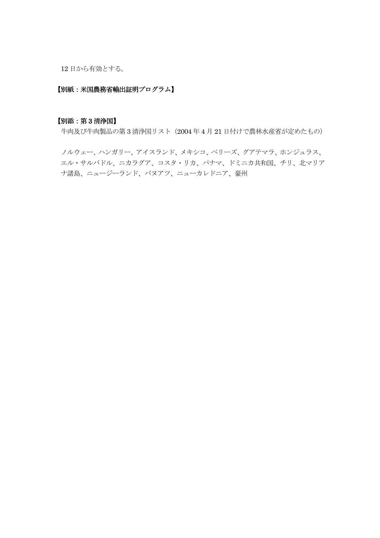12 日から有効とする。

### 【別紙:米国農務省輸出証明プログラム】

### 【別添:第 3 清浄国】

牛肉及び牛肉製品の第 3 清浄国リスト(2004 年 4 月 21 日付けで農林水産省が定めたもの)

 ノルウェー、ハンガリー、アイスランド、メキシコ、ベリーズ、グアテマラ、ホンジュラス、 エル・サルバドル、ニカラグア、コスタ・リカ、パナマ、ドミニカ共和国、チリ、北マリア ナ諸島、ニュージーランド、バヌアツ、ニューカレドニア、豪州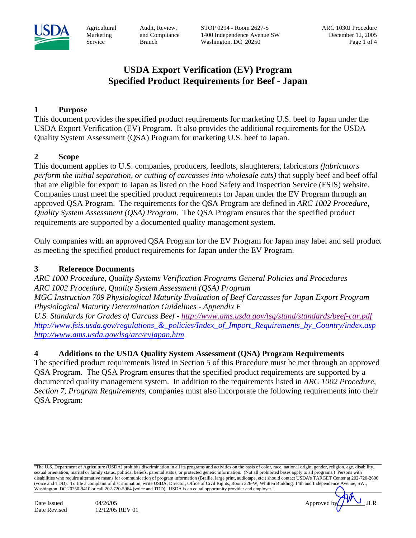

Audit, Review, and Compliance Branch

STOP 0294 - Room 2627-S 1400 Independence Avenue SW Washington, DC 20250

# **USDA Export Verification (EV) Program Specified Product Requirements for Beef - Japan**

## **1 Purpose**

This document provides the specified product requirements for marketing U.S. beef to Japan under the USDA Export Verification (EV) Program. It also provides the additional requirements for the USDA Quality System Assessment (QSA) Program for marketing U.S. beef to Japan.

## **2 Scope**

This document applies to U.S. companies, producers, feedlots, slaughterers, fabricators *(fabricators perform the initial separation, or cutting of carcasses into wholesale cuts)* that supply beef and beef offal that are eligible for export to Japan as listed on the Food Safety and Inspection Service (FSIS) website. Companies must meet the specified product requirements for Japan under the EV Program through an approved QSA Program. The requirements for the QSA Program are defined in *ARC 1002 Procedure, Quality System Assessment (QSA) Program*. The QSA Program ensures that the specified product requirements are supported by a documented quality management system.

Only companies with an approved QSA Program for the EV Program for Japan may label and sell product as meeting the specified product requirements for Japan under the EV Program.

## **3 Reference Documents**

*ARC 1000 Procedure, Quality Systems Verification Programs General Policies and Procedures ARC 1002 Procedure, Quality System Assessment (QSA) Program MGC Instruction 709 Physiological Maturity Evaluation of Beef Carcasses for Japan Export Program Physiological Maturity Determination Guidelines - Appendix F* 

*U.S. Standards for Grades of Carcass Beef - http://www.ams.usda.gov/lsg/stand/standards/beef-car.pdf http://www.fsis.usda.gov/regulations\_&\_policies/Index\_of\_Import\_Requirements\_by\_Country/index.asp http://www.ams.usda.gov/lsg/arc/evjapan.htm*

## **4 Additions to the USDA Quality System Assessment (QSA) Program Requirements**

The specified product requirements listed in Section 5 of this Procedure must be met through an approved QSA Program. The QSA Program ensures that the specified product requirements are supported by a documented quality management system. In addition to the requirements listed in *ARC 1002 Procedure, Section 7, Program Requirements*, companies must also incorporate the following requirements into their QSA Program:

<sup>&</sup>quot;The U.S. Department of Agriculture (USDA) prohibits discrimination in all its programs and activities on the basis of color, race, national origin, gender, religion, age, disability, sexual orientation, marital or family status, political beliefs, parental status, or protected genetic information. (Not all prohibited bases apply to all programs.) Persons with disabilities who require alternative means for communication of program information (Braille, large print, audiotape, etc.) should contact USDA's TARGET Center at 202-720-2600 (voice and TDD). To file a complaint of discrimination, write USDA, Director, Office of Civil Rights, Room 326-W, Whitten Building, 14th and Independence Avenue, SW., Washington, DC 20250-9410 or call 202-720-5964 (voice and TDD). USDA is an equal opportunity provider and employer."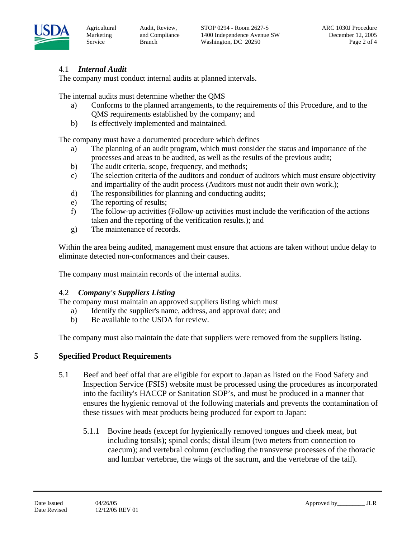

Audit, Review, and Compliance Branch

# 4.1 *Internal Audit*

The company must conduct internal audits at planned intervals.

The internal audits must determine whether the QMS

- a) Conforms to the planned arrangements, to the requirements of this Procedure, and to the QMS requirements established by the company; and
- b) Is effectively implemented and maintained.

The company must have a documented procedure which defines

- a) The planning of an audit program, which must consider the status and importance of the processes and areas to be audited, as well as the results of the previous audit;
- b) The audit criteria, scope, frequency, and methods;
- c) The selection criteria of the auditors and conduct of auditors which must ensure objectivity and impartiality of the audit process (Auditors must not audit their own work.);
- d) The responsibilities for planning and conducting audits;
- e) The reporting of results;
- f) The follow-up activities (Follow-up activities must include the verification of the actions taken and the reporting of the verification results.); and
- g) The maintenance of records.

Within the area being audited, management must ensure that actions are taken without undue delay to eliminate detected non-conformances and their causes.

The company must maintain records of the internal audits.

## 4.2 *Company's Suppliers Listing*

The company must maintain an approved suppliers listing which must

- a) Identify the supplier's name, address, and approval date; and
- b) Be available to the USDA for review.

The company must also maintain the date that suppliers were removed from the suppliers listing.

# **5 Specified Product Requirements**

- 5.1 Beef and beef offal that are eligible for export to Japan as listed on the Food Safety and Inspection Service (FSIS) website must be processed using the procedures as incorporated into the facility's HACCP or Sanitation SOP's, and must be produced in a manner that ensures the hygienic removal of the following materials and prevents the contamination of these tissues with meat products being produced for export to Japan:
	- 5.1.1 Bovine heads (except for hygienically removed tongues and cheek meat, but including tonsils); spinal cords; distal ileum (two meters from connection to caecum); and vertebral column (excluding the transverse processes of the thoracic and lumbar vertebrae, the wings of the sacrum, and the vertebrae of the tail).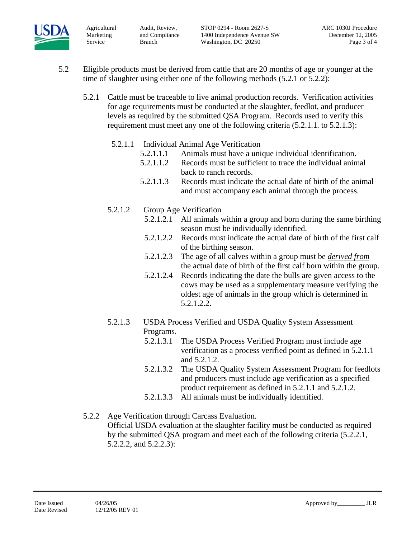

Audit, Review, and Compliance Branch

- 5.2 Eligible products must be derived from cattle that are 20 months of age or younger at the time of slaughter using either one of the following methods (5.2.1 or 5.2.2):
	- 5.2.1 Cattle must be traceable to live animal production records. Verification activities for age requirements must be conducted at the slaughter, feedlot, and producer levels as required by the submitted QSA Program. Records used to verify this requirement must meet any one of the following criteria (5.2.1.1. to 5.2.1.3):
		- 5.2.1.1 Individual Animal Age Verification
			- 5.2.1.1.1 Animals must have a unique individual identification.
			- 5.2.1.1.2 Records must be sufficient to trace the individual animal back to ranch records.
			- 5.2.1.1.3 Records must indicate the actual date of birth of the animal and must accompany each animal through the process.
		- 5.2.1.2 Group Age Verification
			- 5.2.1.2.1 All animals within a group and born during the same birthing season must be individually identified.
				- 5.2.1.2.2 Records must indicate the actual date of birth of the first calf of the birthing season.
				- 5.2.1.2.3 The age of all calves within a group must be *derived from* the actual date of birth of the first calf born within the group.
				- 5.2.1.2.4 Records indicating the date the bulls are given access to the cows may be used as a supplementary measure verifying the oldest age of animals in the group which is determined in 5.2.1.2.2.
		- 5.2.1.3 USDA Process Verified and USDA Quality System Assessment Programs.
			- 5.2.1.3.1 The USDA Process Verified Program must include age verification as a process verified point as defined in 5.2.1.1 and 5.2.1.2.
			- 5.2.1.3.2 The USDA Quality System Assessment Program for feedlots and producers must include age verification as a specified product requirement as defined in 5.2.1.1 and 5.2.1.2.
			- 5.2.1.3.3 All animals must be individually identified.
	- 5.2.2 Age Verification through Carcass Evaluation. Official USDA evaluation at the slaughter facility must be conducted as required by the submitted QSA program and meet each of the following criteria (5.2.2.1, 5.2.2.2, and 5.2.2.3):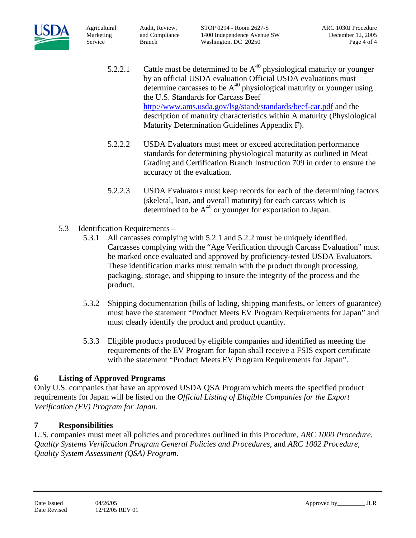

Audit, Review, and Compliance Branch

STOP 0294 - Room 2627-S 1400 Independence Avenue SW Washington, DC 20250

- 5.2.2.1 Cattle must be determined to be  $A^{40}$  physiological maturity or younger by an official USDA evaluation Official USDA evaluations must determine carcasses to be  $A^{40}$  physiological maturity or younger using the U.S. Standards for Carcass Beef http://www.ams.usda.gov/lsg/stand/standards/beef-car.pdf and the description of maturity characteristics within A maturity (Physiological Maturity Determination Guidelines Appendix F).
- 5.2.2.2 USDA Evaluators must meet or exceed accreditation performance standards for determining physiological maturity as outlined in Meat Grading and Certification Branch Instruction 709 in order to ensure the accuracy of the evaluation.
- 5.2.2.3 USDA Evaluators must keep records for each of the determining factors (skeletal, lean, and overall maturity) for each carcass which is determined to be  $A^{40}$  or younger for exportation to Japan.
- 5.3 Identification Requirements
	- 5.3.1 All carcasses complying with 5.2.1 and 5.2.2 must be uniquely identified. Carcasses complying with the "Age Verification through Carcass Evaluation" must be marked once evaluated and approved by proficiency-tested USDA Evaluators. These identification marks must remain with the product through processing, packaging, storage, and shipping to insure the integrity of the process and the product.
	- 5.3.2 Shipping documentation (bills of lading, shipping manifests, or letters of guarantee) must have the statement "Product Meets EV Program Requirements for Japan" and must clearly identify the product and product quantity.
	- 5.3.3 Eligible products produced by eligible companies and identified as meeting the requirements of the EV Program for Japan shall receive a FSIS export certificate with the statement "Product Meets EV Program Requirements for Japan".

# **6 Listing of Approved Programs**

Only U.S. companies that have an approved USDA QSA Program which meets the specified product requirements for Japan will be listed on the *Official Listing of Eligible Companies for the Export Verification (EV) Program for Japan.* 

## **7 Responsibilities**

U.S. companies must meet all policies and procedures outlined in this Procedure, *ARC 1000 Procedure, Quality Systems Verification Program General Policies and Procedures,* and *ARC 1002 Procedure, Quality System Assessment (QSA) Program*.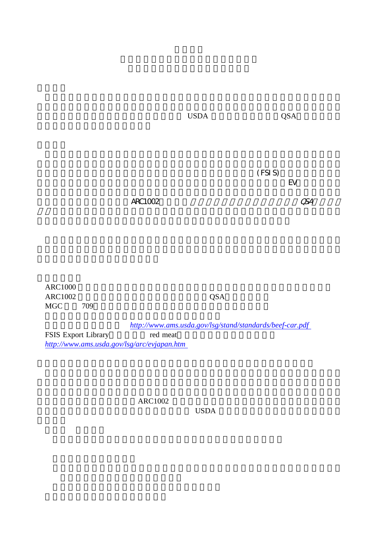牛肉の日本向けのマーケティングのための 品質システム評価( )プログラム USDA QSA

 $(FSI S)$  ${\rm EV}$ 

 $\triangle R$ C1002 $\triangle$ 

ARC1000 ARC1002 QSA  $MGC$   $709$ 

http://www.ams.usda.gov/lsg/stand/standards/beef-car.pdf<br>red meat FSIS Export Library *http://www.ams.usda.gov/lsg/arc/evjapan.htm*

ARC1002

 $$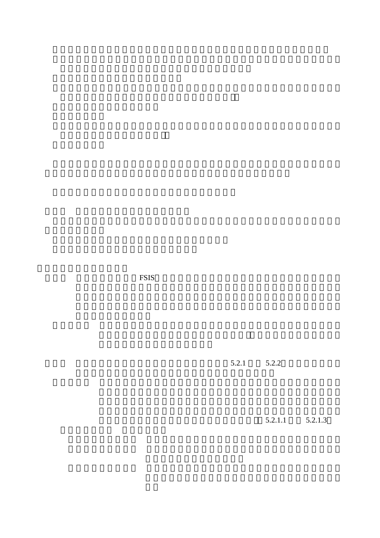FSIS

 $5.2.1$   $5.2.2$ 

 $5.2.1.1$   $5.2.1.3$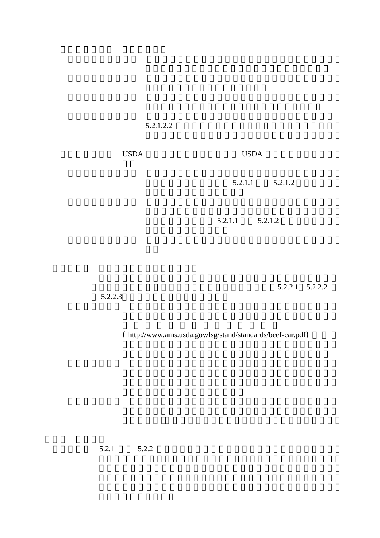$5.2.1.2.2$ 

5.2.1.3 の工程証明プログラム及び の品質管理評価プログ USDA USDA

 $5.2.1.1$   $5.2.1.2$ 

 $5.2.1.1$   $5.2.1.2$ 

 $5.2.2.1$   $5.2.2.2$ 

 $5.2.2.3$ 

 $($  http://www.ams.usda.gov/lsg/stand/standards/beef-car.pdf)

 $5.2.1$   $5.2.2$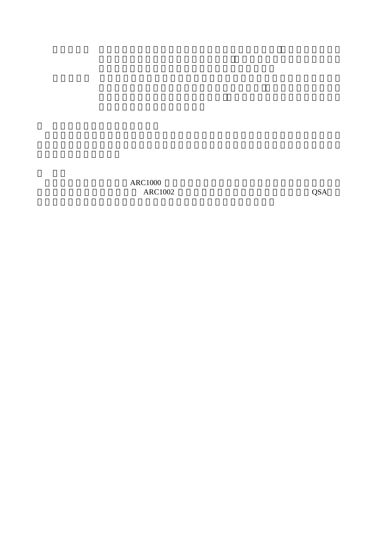$\begin{array}{lcl} \text{ARC1000} & \text{QSA} \end{array}$ ARC1002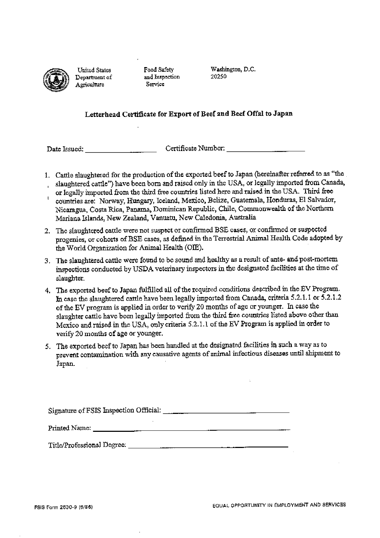

United States Department of Agriculture

Food Safety and Inspection Service

Washington, D.C. 20250

## Letterhead Certificate for Export of Beef and Beef Offal to Japan

- 1. Cattle slaughtered for the production of the exported beef to Japan (hereinafter referred to as "the slaughtered cattle") have been born and raised only in the USA, or legally imported from Canada,  $\mathbf{r}$
- or legally imported from the third free countries listed here and raised in the USA. Third free  $\mathbf{I}$ countries are: Norway, Hungary, Iceland, Mexico, Belize, Guatemala, Honduras, El Salvador, Nicaragua, Costa Rica, Panama, Dominican Republic, Chile, Commonwealth of the Northern Mariana Islands, New Zealand, Vanuatu, New Caledonia, Australia
- 2. The slaughtered cattle were not suspect or confirmed BSE cases, or confirmed or suspected progenies, or cohorts of BSE cases, as defined in the Terrestrial Animal Health Code adopted by the World Organization for Animal Health (OIE).
- 3. The slaughtered cattle were found to be sound and healthy as a result of ante- and post-mortem inspections conducted by USDA veterinary inspectors in the designated facilities at the time of slaughter.
- 4. The exported beef to Japan fulfilled all of the required conditions described in the EV Program. In case the slaughtered cattle have been legally imported from Canada, criteria 5.2.1.1 or 5.2.1.2 of the EV program is applied in order to verify 20 months of age or younger. In case the slaughter cattle have been legally imported from the third free countries listed above other than Mexico and raised in the USA, only criteria 5.2.1.1 of the EV Program is applied in order to verify 20 months of age or younger.
- 5. The exported beef to Japan has been handled at the designated facilities in such a way as to prevent contamination with any causative agents of animal infectious diseases until shipment to Japan.

<u> 1980 - Jan Stein Berlin, amerikan berlindar (</u>

Signature of FSIS Inspection Official: 2008. [2016] [2016] [2016] [2016] [2016] [2016] [2016] [2016] [2016] [3016] [3016] [3016] [3016] [3016] [3016] [3016] [3016] [3016] [3016] [3016] [3016] [3016] [3016] [3016] [3016] [3

Printed Name: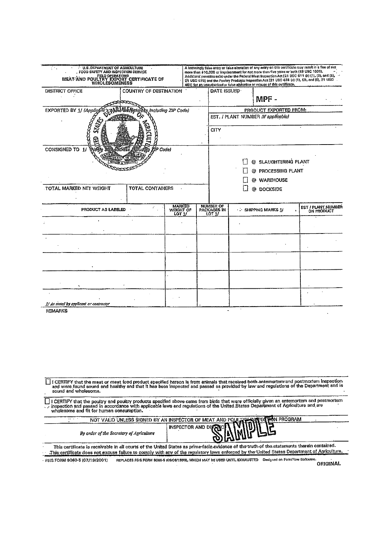| U.S. DEPARTMENT OF AGRICULTURE<br>t fik<br>FOOD SAFETY AND INSPECTION SERVICE<br>MEAT AND POULTRY EXPORT CERTIFICATE OF                                                                                                                                                                                                |                                                          |                         | A knowingly false entry or false alteration of any entry on this certificate may result in a fine of not<br>more than \$10,000 or imprisonment for not more than five years or both (18 USC 1001).<br>Additional penalities exist under the Federal Meat Inspection Act [21 USC 611 (b) (1), (2), and (5),<br>21 USC 6761 and the Poulary Products inspection Act [21 USC 458 (c) (1), (2), and (5), 21 USC<br>4611 for an unauthorized or false atteration or misuse of this certificate. |                                     |            |                            |                     |
|------------------------------------------------------------------------------------------------------------------------------------------------------------------------------------------------------------------------------------------------------------------------------------------------------------------------|----------------------------------------------------------|-------------------------|--------------------------------------------------------------------------------------------------------------------------------------------------------------------------------------------------------------------------------------------------------------------------------------------------------------------------------------------------------------------------------------------------------------------------------------------------------------------------------------------|-------------------------------------|------------|----------------------------|---------------------|
| DISTRICT OFFICE                                                                                                                                                                                                                                                                                                        | COUNTRY OF DESTINATION                                   |                         |                                                                                                                                                                                                                                                                                                                                                                                                                                                                                            | DATE ISSUED                         |            | MPF -                      |                     |
| EXPORTED BY 1/ (Applicant<br>including ZIP Code)<br>храйдЧАН                                                                                                                                                                                                                                                           |                                                          |                         |                                                                                                                                                                                                                                                                                                                                                                                                                                                                                            |                                     |            | PRODUCT EXPORTED FROM:     |                     |
| S.Y.A<br>ê                                                                                                                                                                                                                                                                                                             |                                                          |                         |                                                                                                                                                                                                                                                                                                                                                                                                                                                                                            | EST. / PLANT NUMBER (If applicable) |            |                            |                     |
|                                                                                                                                                                                                                                                                                                                        |                                                          |                         |                                                                                                                                                                                                                                                                                                                                                                                                                                                                                            | <b>CITY</b>                         |            |                            |                     |
| CONSIGNED TO 1/<br>iP Codel                                                                                                                                                                                                                                                                                            |                                                          |                         |                                                                                                                                                                                                                                                                                                                                                                                                                                                                                            |                                     |            | @ SLAUGHTERING PLANT       |                     |
|                                                                                                                                                                                                                                                                                                                        |                                                          |                         |                                                                                                                                                                                                                                                                                                                                                                                                                                                                                            |                                     |            | @ PROCESSING PLANT         |                     |
|                                                                                                                                                                                                                                                                                                                        |                                                          |                         |                                                                                                                                                                                                                                                                                                                                                                                                                                                                                            |                                     |            | @ WAREHOUSE                |                     |
| TOTAL MARKED NET WEIGHT                                                                                                                                                                                                                                                                                                |                                                          | <b>TOTAL CONTAINERS</b> |                                                                                                                                                                                                                                                                                                                                                                                                                                                                                            |                                     | @ DOCKSIDE |                            |                     |
| PRODUCT AS LABELED                                                                                                                                                                                                                                                                                                     |                                                          | MARKED<br>WEIGHT OF     |                                                                                                                                                                                                                                                                                                                                                                                                                                                                                            | NUMBER OF<br>PACKAGES IN            |            | <b>: SHIPPING MARKS 1/</b> | EST / PLANT. NUMBER |
|                                                                                                                                                                                                                                                                                                                        |                                                          | LOT 1/                  |                                                                                                                                                                                                                                                                                                                                                                                                                                                                                            | LOT 1/                              |            |                            | ON PRODUCT          |
|                                                                                                                                                                                                                                                                                                                        |                                                          |                         |                                                                                                                                                                                                                                                                                                                                                                                                                                                                                            |                                     |            |                            |                     |
|                                                                                                                                                                                                                                                                                                                        |                                                          |                         |                                                                                                                                                                                                                                                                                                                                                                                                                                                                                            |                                     |            |                            |                     |
|                                                                                                                                                                                                                                                                                                                        |                                                          |                         |                                                                                                                                                                                                                                                                                                                                                                                                                                                                                            |                                     |            |                            |                     |
|                                                                                                                                                                                                                                                                                                                        |                                                          |                         |                                                                                                                                                                                                                                                                                                                                                                                                                                                                                            |                                     |            |                            |                     |
|                                                                                                                                                                                                                                                                                                                        |                                                          |                         |                                                                                                                                                                                                                                                                                                                                                                                                                                                                                            |                                     |            |                            |                     |
|                                                                                                                                                                                                                                                                                                                        |                                                          |                         |                                                                                                                                                                                                                                                                                                                                                                                                                                                                                            |                                     |            |                            |                     |
| I/As stated by applicant or contractor                                                                                                                                                                                                                                                                                 |                                                          |                         |                                                                                                                                                                                                                                                                                                                                                                                                                                                                                            |                                     |            |                            |                     |
| <b>REMARKS</b>                                                                                                                                                                                                                                                                                                         |                                                          |                         |                                                                                                                                                                                                                                                                                                                                                                                                                                                                                            |                                     |            |                            |                     |
|                                                                                                                                                                                                                                                                                                                        |                                                          |                         |                                                                                                                                                                                                                                                                                                                                                                                                                                                                                            |                                     |            |                            |                     |
| I CERTIFY that the meat or meat food product specified hereon is from animals that received both anternortem and postmortem inspection<br>and were found sound and healthy and that it has been inspected and passed as provided by law and regulations of the Department and is<br>sound and wholesome.               |                                                          |                         |                                                                                                                                                                                                                                                                                                                                                                                                                                                                                            |                                     |            |                            |                     |
| I CERTIFY that the poultry and poultry products specified above came from birds that were officially given an antemortem and postmortem<br>inspection and passed in accordance with applicable laws and regulations of the United States Department of Agriculture and are<br>wholesome and fit for human consumption. |                                                          |                         |                                                                                                                                                                                                                                                                                                                                                                                                                                                                                            |                                     |            |                            |                     |
| $\mathbf{r} = \mathbf{r} \cdot \mathbf{r}$                                                                                                                                                                                                                                                                             | NOT VALID UNLESS SIGNED BY AN INSPECTOR OF MEAT AND POUL |                         |                                                                                                                                                                                                                                                                                                                                                                                                                                                                                            |                                     |            | <b>HÒ</b> N PROGRAM        |                     |
| By order of the Secretary of Agriculture                                                                                                                                                                                                                                                                               |                                                          |                         | INSPECTOR AND DI                                                                                                                                                                                                                                                                                                                                                                                                                                                                           |                                     |            |                            |                     |
| This certificate is receivable in all courts of the United States as prima-facia evidence of the truth of the statements therein contained.<br>This certificate does not excuse failure to comply with any of the regulatory laws enforced by the United States Department of Agriculture.                             |                                                          |                         |                                                                                                                                                                                                                                                                                                                                                                                                                                                                                            |                                     |            |                            |                     |

FSIS FORM 9060-5 (07/19/2001) REPLACES FSIS FORM 9060-5 (05/06/1999), WHICH MAY BE USED UNTIL EXHAUSTED Designed on Form Tow Software.

 $\overline{ }$